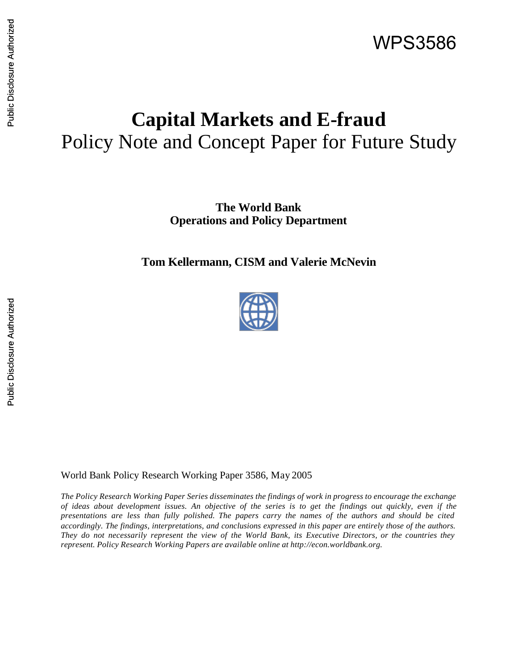# **Capital Markets and E-fraud** Policy Note and Concept Paper for Future Study

**The World Bank Operations and Policy Department**

**Tom Kellermann, CISM and Valerie McNevin**



World Bank Policy Research Working Paper 3586, May 2005

*The Policy Research Working Paper Series disseminates the findings of work in progress to encourage the exchange of ideas about development issues. An objective of the series is to get the findings out quickly, even if the presentations are less than fully polished. The papers carry the names of the authors and should be cited accordingly. The findings, interpretations, and conclusions expressed in this paper are entirely those of the authors. They do not necessarily represent the view of the World Bank, its Executive Directors, or the countries they represent. Policy Research Working Papers are available online at http://econ.worldbank.org.*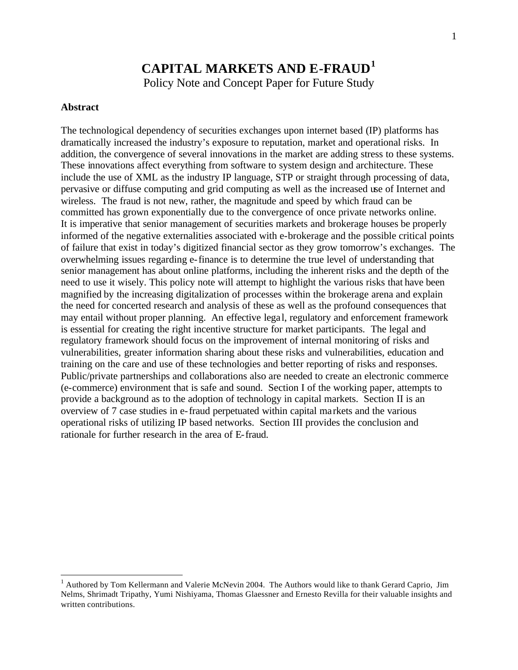# **CAPITAL MARKETS AND E-FRAUD<sup>1</sup>**

Policy Note and Concept Paper for Future Study

#### **Abstract**

 $\overline{a}$ 

The technological dependency of securities exchanges upon internet based (IP) platforms has dramatically increased the industry's exposure to reputation, market and operational risks. In addition, the convergence of several innovations in the market are adding stress to these systems. These innovations affect everything from software to system design and architecture. These include the use of XML as the industry IP language, STP or straight through processing of data, pervasive or diffuse computing and grid computing as well as the increased use of Internet and wireless. The fraud is not new, rather, the magnitude and speed by which fraud can be committed has grown exponentially due to the convergence of once private networks online. It is imperative that senior management of securities markets and brokerage houses be properly informed of the negative externalities associated with e-brokerage and the possible critical points of failure that exist in today's digitized financial sector as they grow tomorrow's exchanges. The overwhelming issues regarding e-finance is to determine the true level of understanding that senior management has about online platforms, including the inherent risks and the depth of the need to use it wisely. This policy note will attempt to highlight the various risks that have been magnified by the increasing digitalization of processes within the brokerage arena and explain the need for concerted research and analysis of these as well as the profound consequences that may entail without proper planning. An effective lega l, regulatory and enforcement framework is essential for creating the right incentive structure for market participants. The legal and regulatory framework should focus on the improvement of internal monitoring of risks and vulnerabilities, greater information sharing about these risks and vulnerabilities, education and training on the care and use of these technologies and better reporting of risks and responses. Public/private partnerships and collaborations also are needed to create an electronic commerce (e-commerce) environment that is safe and sound. Section I of the working paper, attempts to provide a background as to the adoption of technology in capital markets. Section II is an overview of 7 case studies in e-fraud perpetuated within capital ma rkets and the various operational risks of utilizing IP based networks. Section III provides the conclusion and rationale for further research in the area of E-fraud.

 $<sup>1</sup>$  Authored by Tom Kellermann and Valerie McNevin 2004. The Authors would like to thank Gerard Caprio, Jim</sup> Nelms, Shrimadt Tripathy, Yumi Nishiyama, Thomas Glaessner and Ernesto Revilla for their valuable insights and written contributions.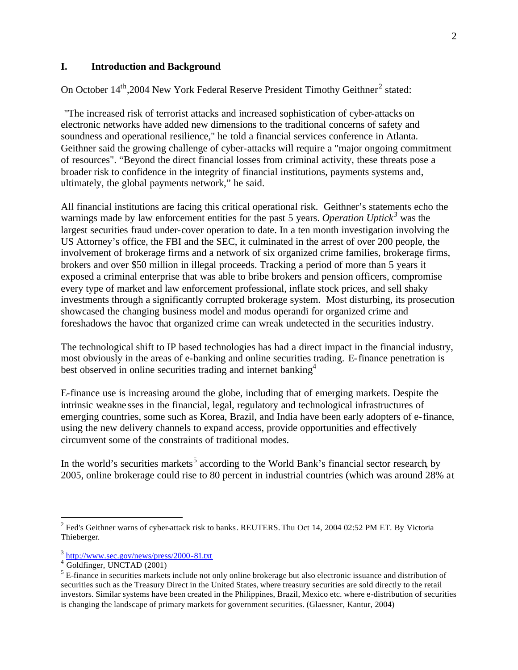#### **I. Introduction and Background**

On October  $14<sup>th</sup>$ , 2004 New York Federal Reserve President Timothy Geithner<sup>2</sup> stated:

"The increased risk of terrorist attacks and increased sophistication of cyber-attacks on electronic networks have added new dimensions to the traditional concerns of safety and soundness and operational resilience," he told a financial services conference in Atlanta. Geithner said the growing challenge of cyber-attacks will require a "major ongoing commitment of resources". "Beyond the direct financial losses from criminal activity, these threats pose a broader risk to confidence in the integrity of financial institutions, payments systems and, ultimately, the global payments network," he said.

All financial institutions are facing this critical operational risk. Geithner's statements echo the warnings made by law enforcement entities for the past 5 years. *Operation Uptick*<sup>3</sup> was the largest securities fraud under-cover operation to date. In a ten month investigation involving the US Attorney's office, the FBI and the SEC, it culminated in the arrest of over 200 people, the involvement of brokerage firms and a network of six organized crime families, brokerage firms, brokers and over \$50 million in illegal proceeds. Tracking a period of more than 5 years it exposed a criminal enterprise that was able to bribe brokers and pension officers, compromise every type of market and law enforcement professional, inflate stock prices, and sell shaky investments through a significantly corrupted brokerage system. Most disturbing, its prosecution showcased the changing business model and modus operandi for organized crime and foreshadows the havoc that organized crime can wreak undetected in the securities industry.

The technological shift to IP based technologies has had a direct impact in the financial industry, most obviously in the areas of e-banking and online securities trading. E-finance penetration is best observed in online securities trading and internet banking<sup>4</sup>

E-finance use is increasing around the globe, including that of emerging markets. Despite the intrinsic weakne sses in the financial, legal, regulatory and technological infrastructures of emerging countries, some such as Korea, Brazil, and India have been early adopters of e-finance, using the new delivery channels to expand access, provide opportunities and effectively circumvent some of the constraints of traditional modes.

In the world's securities markets<sup>5</sup> according to the World Bank's financial sector research, by 2005, online brokerage could rise to 80 percent in industrial countries (which was around 28% at

 $2^2$  Fed's Geithner warns of cyber-attack risk to banks. REUTERS. Thu Oct 14, 2004 02:52 PM ET. By Victoria Thieberger.

<sup>&</sup>lt;sup>3</sup> http://www.sec.gov/news/press/2000-81.txt

<sup>4</sup> Goldfinger, UNCTAD (2001)

 $<sup>5</sup>$  E-finance in securities markets include not only online brokerage but also electronic issuance and distribution of</sup> securities such as the Treasury Direct in the United States, where treasury securities are sold directly to the retail investors. Similar systems have been created in the Philippines, Brazil, Mexico etc. where e-distribution of securities is changing the landscape of primary markets for government securities. (Glaessner, Kantur, 2004)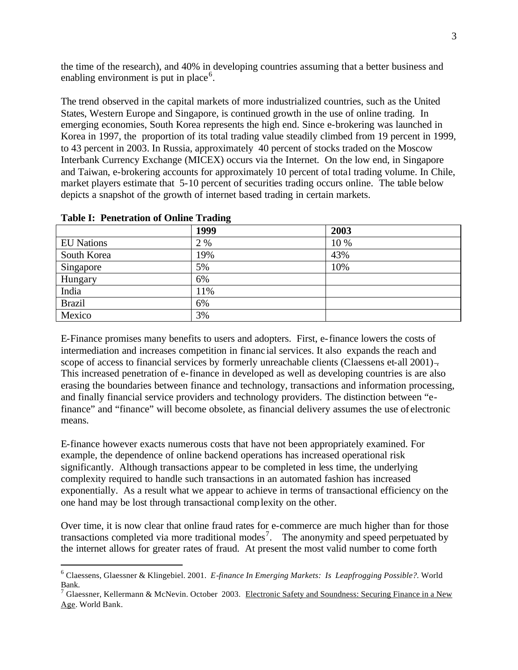the time of the research), and 40% in developing countries assuming that a better business and enabling environment is put in place<sup>6</sup>.

The trend observed in the capital markets of more industrialized countries, such as the United States, Western Europe and Singapore, is continued growth in the use of online trading. In emerging economies, South Korea represents the high end. Since e-brokering was launched in Korea in 1997, the proportion of its total trading value steadily climbed from 19 percent in 1999, to 43 percent in 2003. In Russia, approximately 40 percent of stocks traded on the Moscow Interbank Currency Exchange (MICEX) occurs via the Internet. On the low end, in Singapore and Taiwan, e-brokering accounts for approximately 10 percent of total trading volume. In Chile, market players estimate that 5-10 percent of securities trading occurs online. The table below depicts a snapshot of the growth of internet based trading in certain markets.

|                   | 1999 | 2003 |
|-------------------|------|------|
| <b>EU</b> Nations | 2 %  | 10 % |
| South Korea       | 19%  | 43%  |
| Singapore         | 5%   | 10%  |
| Hungary           | 6%   |      |
| India             | 11%  |      |
| <b>Brazil</b>     | 6%   |      |
| Mexico            | 3%   |      |

**Table I: Penetration of Online Trading**

 $\overline{a}$ 

E-Finance promises many benefits to users and adopters. First, e-finance lowers the costs of intermediation and increases competition in financ ial services. It also expands the reach and scope of access to financial services by formerly unreachable clients (Claessens et-all 2001)– This increased penetration of e-finance in developed as well as developing countries is are also erasing the boundaries between finance and technology, transactions and information processing, and finally financial service providers and technology providers. The distinction between "efinance" and "finance" will become obsolete, as financial delivery assumes the use of electronic means.

E-finance however exacts numerous costs that have not been appropriately examined. For example, the dependence of online backend operations has increased operational risk significantly. Although transactions appear to be completed in less time, the underlying complexity required to handle such transactions in an automated fashion has increased exponentially. As a result what we appear to achieve in terms of transactional efficiency on the one hand may be lost through transactional complexity on the other.

Over time, it is now clear that online fraud rates for e-commerce are much higher than for those transactions completed via more traditional modes<sup>7</sup>. The anonymity and speed perpetuated by the internet allows for greater rates of fraud. At present the most valid number to come forth

<sup>6</sup> Claessens, Glaessner & Klingebiel. 2001. *E-finance In Emerging Markets: Is Leapfrogging Possible?.* World Bank.

<sup>&</sup>lt;sup>7</sup> Glaessner, Kellermann & McNevin. October 2003. Electronic Safety and Soundness: Securing Finance in a New Age. World Bank.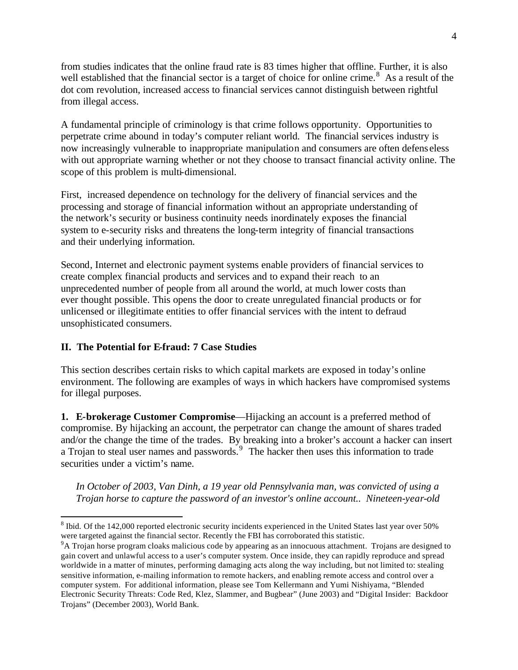from studies indicates that the online fraud rate is 83 times higher that offline. Further, it is also well established that the financial sector is a target of choice for online crime.<sup>8</sup> As a result of the dot com revolution, increased access to financial services cannot distinguish between rightful from illegal access.

A fundamental principle of criminology is that crime follows opportunity. Opportunities to perpetrate crime abound in today's computer reliant world. The financial services industry is now increasingly vulnerable to inappropriate manipulation and consumers are often defens eless with out appropriate warning whether or not they choose to transact financial activity online. The scope of this problem is multi-dimensional.

First, increased dependence on technology for the delivery of financial services and the processing and storage of financial information without an appropriate understanding of the network's security or business continuity needs inordinately exposes the financial system to e-security risks and threatens the long-term integrity of financial transactions and their underlying information.

Second, Internet and electronic payment systems enable providers of financial services to create complex financial products and services and to expand their reach to an unprecedented number of people from all around the world, at much lower costs than ever thought possible. This opens the door to create unregulated financial products or for unlicensed or illegitimate entities to offer financial services with the intent to defraud unsophisticated consumers.

#### **II. The Potential for E-fraud: 7 Case Studies**

 $\overline{a}$ 

This section describes certain risks to which capital markets are exposed in today's online environment. The following are examples of ways in which hackers have compromised systems for illegal purposes.

**1. E-brokerage Customer Compromise**—Hijacking an account is a preferred method of compromise. By hijacking an account, the perpetrator can change the amount of shares traded and/or the change the time of the trades. By breaking into a broker's account a hacker can insert a Trojan to steal user names and passwords. $9$  The hacker then uses this information to trade securities under a victim's name.

*In October of 2003, Van Dinh, a 19 year old Pennsylvania man, was convicted of using a Trojan horse to capture the password of an investor's online account.. Nineteen-year-old* 

 $8$  Ibid. Of the 142,000 reported electronic security incidents experienced in the United States last year over 50% were targeted against the financial sector. Recently the FBI has corroborated this statistic.

<sup>&</sup>lt;sup>9</sup>A Trojan horse program cloaks malicious code by appearing as an innocuous attachment. Trojans are designed to gain covert and unlawful access to a user's computer system. Once inside, they can rapidly reproduce and spread worldwide in a matter of minutes, performing damaging acts along the way including, but not limited to: stealing sensitive information, e-mailing information to remote hackers, and enabling remote access and control over a computer system. For additional information, please see Tom Kellermann and Yumi Nishiyama, "Blended Electronic Security Threats: Code Red, Klez, Slammer, and Bugbear" (June 2003) and "Digital Insider: Backdoor Trojans" (December 2003), World Bank.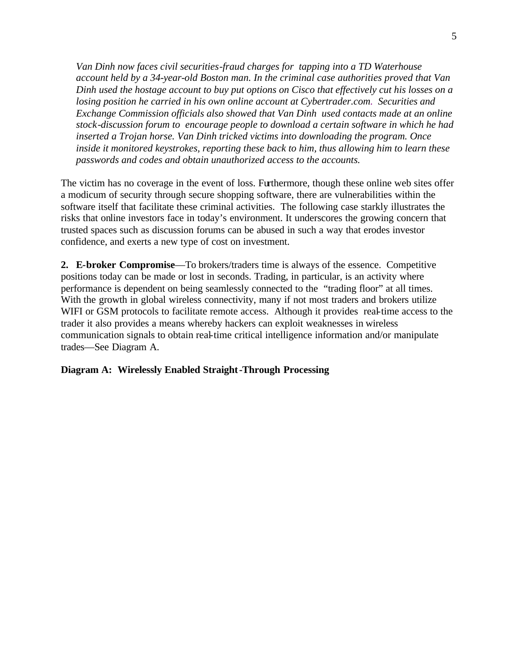*Van Dinh now faces civil securities-fraud charges for tapping into a TD Waterhouse account held by a 34-year-old Boston man. In the criminal case authorities proved that Van Dinh used the hostage account to buy put options on Cisco that effectively cut his losses on a losing position he carried in his own online account at Cybertrader.com. Securities and Exchange Commission officials also showed that Van Dinh used contacts made at an online stock-discussion forum to encourage people to download a certain software in which he had inserted a Trojan horse. Van Dinh tricked victims into downloading the program. Once inside it monitored keystrokes, reporting these back to him, thus allowing him to learn these passwords and codes and obtain unauthorized access to the accounts.* 

The victim has no coverage in the event of loss. Furthermore, though these online web sites offer a modicum of security through secure shopping software, there are vulnerabilities within the software itself that facilitate these criminal activities. The following case starkly illustrates the risks that online investors face in today's environment. It underscores the growing concern that trusted spaces such as discussion forums can be abused in such a way that erodes investor confidence, and exerts a new type of cost on investment.

**2. E-broker Compromise**—To brokers/traders time is always of the essence. Competitive positions today can be made or lost in seconds. Trading, in particular, is an activity where performance is dependent on being seamlessly connected to the "trading floor" at all times. With the growth in global wireless connectivity, many if not most traders and brokers utilize WIFI or GSM protocols to facilitate remote access. Although it provides real-time access to the trader it also provides a means whereby hackers can exploit weaknesses in wireless communication signals to obtain real-time critical intelligence information and/or manipulate trades—See Diagram A.

#### **Diagram A: Wirelessly Enabled Straight-Through Processing**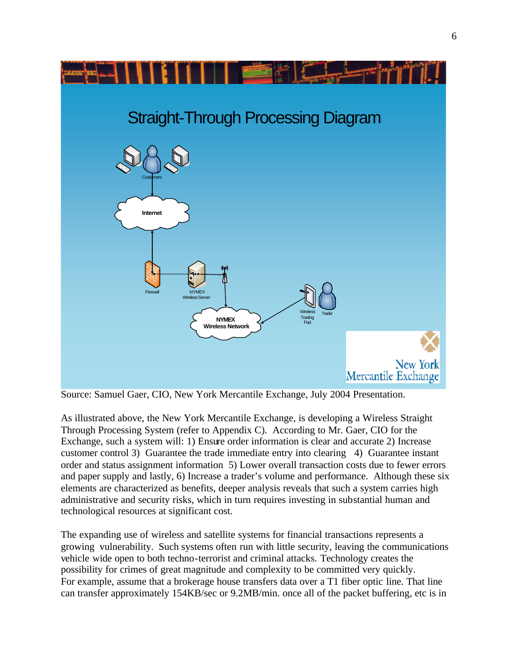

Source: Samuel Gaer, CIO, New York Mercantile Exchange, July 2004 Presentation.

As illustrated above, the New York Mercantile Exchange, is developing a Wireless Straight Through Processing System (refer to Appendix C). According to Mr. Gaer, CIO for the Exchange, such a system will: 1) Ensure order information is clear and accurate 2) Increase customer control 3) Guarantee the trade immediate entry into clearing 4) Guarantee instant order and status assignment information 5) Lower overall transaction costs due to fewer errors and paper supply and lastly, 6) Increase a trader's volume and performance. Although these six elements are characterized as benefits, deeper analysis reveals that such a system carries high administrative and security risks, which in turn requires investing in substantial human and technological resources at significant cost.

The expanding use of wireless and satellite systems for financial transactions represents a growing vulnerability. Such systems often run with little security, leaving the communications vehicle wide open to both techno-terrorist and criminal attacks. Technology creates the possibility for crimes of great magnitude and complexity to be committed very quickly. For example, assume that a brokerage house transfers data over a T1 fiber optic line. That line can transfer approximately 154KB/sec or 9.2MB/min. once all of the packet buffering, etc is in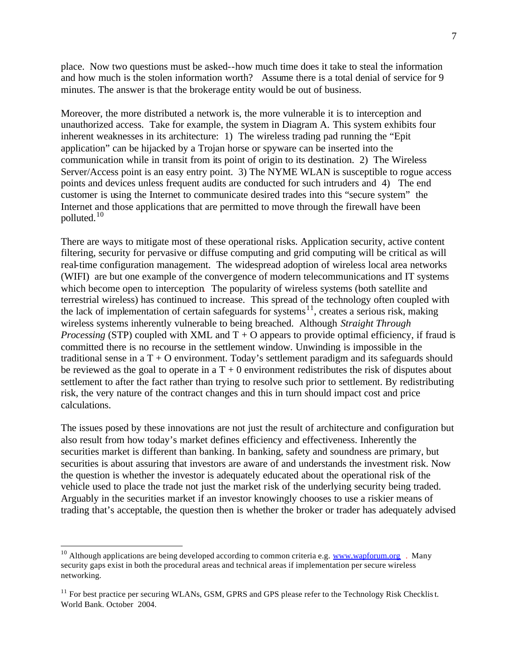place. Now two questions must be asked--how much time does it take to steal the information and how much is the stolen information worth? Assume there is a total denial of service for 9 minutes. The answer is that the brokerage entity would be out of business.

Moreover, the more distributed a network is, the more vulnerable it is to interception and unauthorized access. Take for example, the system in Diagram A. This system exhibits four inherent weaknesses in its architecture: 1) The wireless trading pad running the "Epit application" can be hijacked by a Trojan horse or spyware can be inserted into the communication while in transit from its point of origin to its destination. 2) The Wireless Server/Access point is an easy entry point. 3) The NYME WLAN is susceptible to rogue access points and devices unless frequent audits are conducted for such intruders and 4) The end customer is using the Internet to communicate desired trades into this "secure system" the Internet and those applications that are permitted to move through the firewall have been polluted. $10$ 

There are ways to mitigate most of these operational risks. Application security, active content filtering, security for pervasive or diffuse computing and grid computing will be critical as will real-time configuration management. The widespread adoption of wireless local area networks (WIFI) are but one example of the convergence of modern telecommunications and IT systems which become open to interception. The popularity of wireless systems (both satellite and terrestrial wireless) has continued to increase. This spread of the technology often coupled with the lack of implementation of certain safeguards for systems<sup>11</sup>, creates a serious risk, making wireless systems inherently vulnerable to being breached. Although *Straight Through Processing* (STP) coupled with XML and  $T + O$  appears to provide optimal efficiency, if fraud is committed there is no recourse in the settlement window. Unwinding is impossible in the traditional sense in a  $T + O$  environment. Today's settlement paradigm and its safeguards should be reviewed as the goal to operate in a  $T + 0$  environment redistributes the risk of disputes about settlement to after the fact rather than trying to resolve such prior to settlement. By redistributing risk, the very nature of the contract changes and this in turn should impact cost and price calculations.

The issues posed by these innovations are not just the result of architecture and configuration but also result from how today's market defines efficiency and effectiveness. Inherently the securities market is different than banking. In banking, safety and soundness are primary, but securities is about assuring that investors are aware of and understands the investment risk. Now the question is whether the investor is adequately educated about the operational risk of the vehicle used to place the trade not just the market risk of the underlying security being traded. Arguably in the securities market if an investor knowingly chooses to use a riskier means of trading that's acceptable, the question then is whether the broker or trader has adequately advised

<sup>&</sup>lt;sup>10</sup> Although applications are being developed according to common criteria e.g. www.wapforum.org . Many security gaps exist in both the procedural areas and technical areas if implementation per secure wireless networking.

<sup>&</sup>lt;sup>11</sup> For best practice per securing WLANs, GSM, GPRS and GPS please refer to the Technology Risk Checklist. World Bank. October 2004.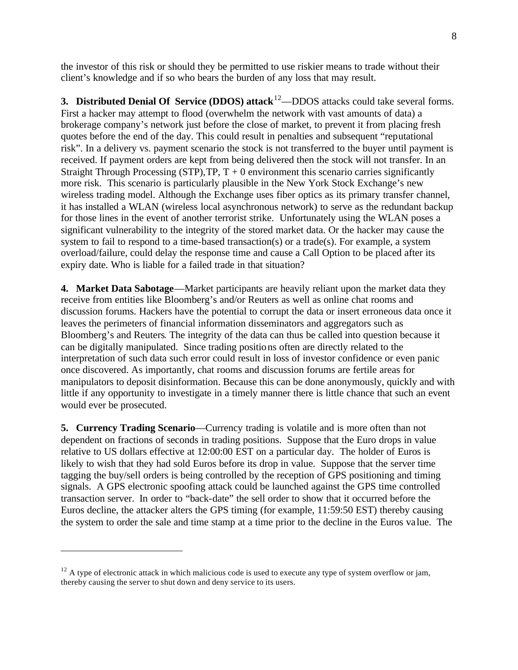the investor of this risk or should they be permitted to use riskier means to trade without their client's knowledge and if so who bears the burden of any loss that may result.

**3. Distributed Denial Of Service (DDOS) attack**<sup>12</sup>—DDOS attacks could take several forms. First a hacker may attempt to flood (overwhelm the network with vast amounts of data) a brokerage company's network just before the close of market, to prevent it from placing fresh quotes before the end of the day. This could result in penalties and subsequent "reputational risk". In a delivery vs. payment scenario the stock is not transferred to the buyer until payment is received. If payment orders are kept from being delivered then the stock will not transfer. In an Straight Through Processing (STP),  $TP, T + 0$  environment this scenario carries significantly more risk. This scenario is particularly plausible in the New York Stock Exchange's new wireless trading model. Although the Exchange uses fiber optics as its primary transfer channel, it has installed a WLAN (wireless local asynchronous network) to serve as the redundant backup for those lines in the event of another terrorist strike. Unfortunately using the WLAN poses a significant vulnerability to the integrity of the stored market data. Or the hacker may cause the system to fail to respond to a time-based transaction(s) or a trade(s). For example, a system overload/failure, could delay the response time and cause a Call Option to be placed after its expiry date. Who is liable for a failed trade in that situation?

**4. Market Data Sabotage**—Market participants are heavily reliant upon the market data they receive from entities like Bloomberg's and/or Reuters as well as online chat rooms and discussion forums. Hackers have the potential to corrupt the data or insert erroneous data once it leaves the perimeters of financial information disseminators and aggregators such as Bloomberg's and Reuters. The integrity of the data can thus be called into question because it can be digitally manipulated. Since trading positions often are directly related to the interpretation of such data such error could result in loss of investor confidence or even panic once discovered. As importantly, chat rooms and discussion forums are fertile areas for manipulators to deposit disinformation. Because this can be done anonymously, quickly and with little if any opportunity to investigate in a timely manner there is little chance that such an event would ever be prosecuted.

**5. Currency Trading Scenario**—Currency trading is volatile and is more often than not dependent on fractions of seconds in trading positions. Suppose that the Euro drops in value relative to US dollars effective at 12:00:00 EST on a particular day. The holder of Euros is likely to wish that they had sold Euros before its drop in value. Suppose that the server time tagging the buy/sell orders is being controlled by the reception of GPS positioning and timing signals. A GPS electronic spoofing attack could be launched against the GPS time controlled transaction server. In order to "back-date" the sell order to show that it occurred before the Euros decline, the attacker alters the GPS timing (for example, 11:59:50 EST) thereby causing the system to order the sale and time stamp at a time prior to the decline in the Euros va lue. The

 $12$  A type of electronic attack in which malicious code is used to execute any type of system overflow or jam, thereby causing the server to shut down and deny service to its users.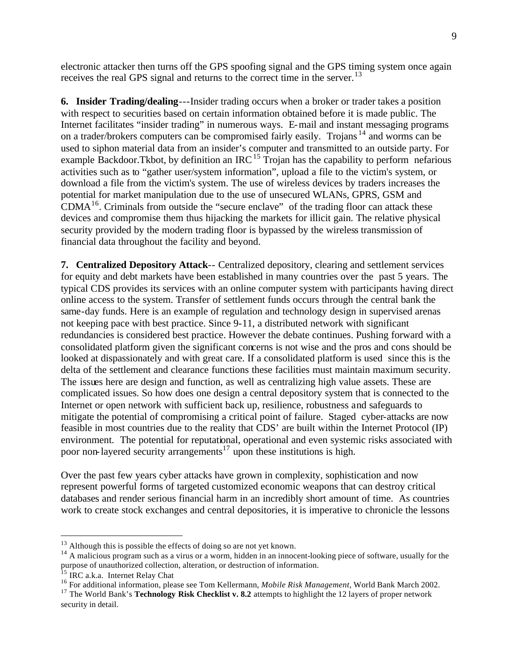electronic attacker then turns off the GPS spoofing signal and the GPS timing system once again receives the real GPS signal and returns to the correct time in the server.<sup>13</sup>

**6. Insider Trading/dealing**---Insider trading occurs when a broker or trader takes a position with respect to securities based on certain information obtained before it is made public. The Internet facilitates "insider trading" in numerous ways. E-mail and instant messaging programs on a trader/brokers computers can be compromised fairly easily. Trojans <sup>14</sup> and worms can be used to siphon material data from an insider's computer and transmitted to an outside party. For example Backdoor. Tkbot, by definition an IRC<sup>15</sup> Trojan has the capability to perform nefarious activities such as to "gather user/system information", upload a file to the victim's system, or download a file from the victim's system. The use of wireless devices by traders increases the potential for market manipulation due to the use of unsecured WLANs, GPRS, GSM and  $CDMA<sup>16</sup>$ . Criminals from outside the "secure enclave" of the trading floor can attack these devices and compromise them thus hijacking the markets for illicit gain. The relative physical security provided by the modern trading floor is bypassed by the wireless transmission of financial data throughout the facility and beyond.

**7. Centralized Depository Attack**-- Centralized depository, clearing and settlement services for equity and debt markets have been established in many countries over the past 5 years. The typical CDS provides its services with an online computer system with participants having direct online access to the system. Transfer of settlement funds occurs through the central bank the same-day funds. Here is an example of regulation and technology design in supervised arenas not keeping pace with best practice. Since 9-11, a distributed network with significant redundancies is considered best practice. However the debate continues. Pushing forward with a consolidated platform given the significant concerns is not wise and the pros and cons should be looked at dispassionately and with great care. If a consolidated platform is used since this is the delta of the settlement and clearance functions these facilities must maintain maximum security. The issues here are design and function, as well as centralizing high value assets. These are complicated issues. So how does one design a central depository system that is connected to the Internet or open network with sufficient back up, resilience, robustness and safeguards to mitigate the potential of compromising a critical point of failure. Staged cyber-attacks are now feasible in most countries due to the reality that CDS' are built within the Internet Protocol (IP) environment. The potential for reputational, operational and even systemic risks associated with poor non-layered security arrangements<sup>17</sup> upon these institutions is high.

Over the past few years cyber attacks have grown in complexity, sophistication and now represent powerful forms of targeted customized economic weapons that can destroy critical databases and render serious financial harm in an incredibly short amount of time. As countries work to create stock exchanges and central depositories, it is imperative to chronicle the lessons

<sup>&</sup>lt;sup>13</sup> Although this is possible the effects of doing so are not yet known.

 $14$  A malicious program such as a virus or a worm, hidden in an innocent-looking piece of software, usually for the purpose of unauthorized collection, alteration, or destruction of information.

<sup>&</sup>lt;sup>15</sup> IRC a.k.a. Internet Relay Chat

<sup>16</sup> For additional information, please see Tom Kellermann, *Mobile Risk Management*, World Bank March 2002.

<sup>&</sup>lt;sup>17</sup> The World Bank's **Technology Risk Checklist v. 8.2** attempts to highlight the 12 layers of proper network security in detail.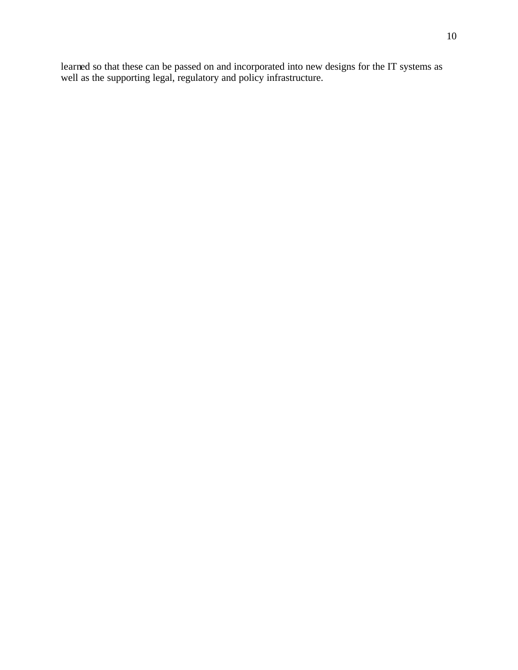learned so that these can be passed on and incorporated into new designs for the IT systems as well as the supporting legal, regulatory and policy infrastructure.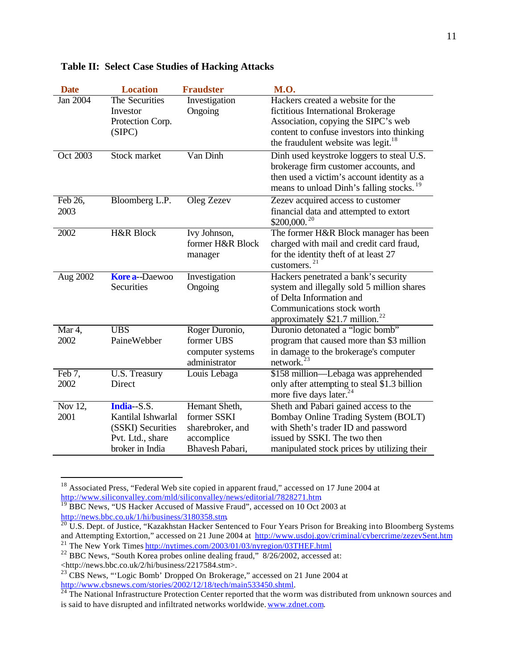| <b>Date</b>     | <b>Location</b>      | <b>Fraudster</b> | <b>M.O.</b>                                          |
|-----------------|----------------------|------------------|------------------------------------------------------|
| <b>Jan 2004</b> | The Securities       | Investigation    | Hackers created a website for the                    |
|                 | Investor             | Ongoing          | fictitious International Brokerage                   |
|                 | Protection Corp.     |                  | Association, copying the SIPC's web                  |
|                 | (SIPC)               |                  | content to confuse investors into thinking           |
|                 |                      |                  | the fraudulent website was legit. <sup>18</sup>      |
| Oct 2003        | Stock market         | Van Dinh         | Dinh used keystroke loggers to steal U.S.            |
|                 |                      |                  | brokerage firm customer accounts, and                |
|                 |                      |                  | then used a victim's account identity as a           |
|                 |                      |                  | means to unload Dinh's falling stocks. <sup>19</sup> |
| Feb 26,         | Bloomberg L.P.       | Oleg Zezev       | Zezev acquired access to customer                    |
| 2003            |                      |                  | financial data and attempted to extort               |
|                 |                      |                  | \$200,000. <sup>20</sup>                             |
| 2002            | <b>H&amp;R Block</b> | Ivy Johnson,     | The former H&R Block manager has been                |
|                 |                      | former H&R Block | charged with mail and credit card fraud,             |
|                 |                      | manager          | for the identity theft of at least 27                |
|                 |                      |                  | customers. $^{21}$                                   |
| Aug 2002        | <b>Kore a-Daewoo</b> | Investigation    | Hackers penetrated a bank's security                 |
|                 | Securities           | Ongoing          | system and illegally sold 5 million shares           |
|                 |                      |                  | of Delta Information and                             |
|                 |                      |                  | Communications stock worth                           |
|                 |                      |                  | approximately \$21.7 million. <sup>22</sup>          |
| Mar 4,          | <b>UBS</b>           | Roger Duronio,   | Duronio detonated a "logic bomb"                     |
| 2002            | PaineWebber          | former UBS       | program that caused more than \$3 million            |
|                 |                      | computer systems | in damage to the brokerage's computer                |
|                 |                      | administrator    | network.                                             |
| Feb 7,          | U.S. Treasury        | Louis Lebaga     | \$158 million—Lebaga was apprehended                 |
| 2002            | Direct               |                  | only after attempting to steal \$1.3 billion         |
|                 |                      |                  | more five days later. <sup>24</sup>                  |
| Nov 12,         | $India-S.S.$         | Hemant Sheth,    | Sheth and Pabari gained access to the                |
| 2001            | Kantilal Ishwarlal   | former SSKI      | Bombay Online Trading System (BOLT)                  |
|                 | (SSKI) Securities    | sharebroker, and | with Sheth's trader ID and password                  |
|                 | Pvt. Ltd., share     | accomplice       | issued by SSKI. The two then                         |
|                 | broker in India      | Bhavesh Pabari,  | manipulated stock prices by utilizing their          |

#### **Table II: Select Case Studies of Hacking Attacks**

 $18$  Associated Press, "Federal Web site copied in apparent fraud," accessed on 17 June 2004 at http://www.siliconvalley.com/mld/siliconvalley/news/editorial/7828271.htm

<sup>&</sup>lt;sup>19</sup> BBC News, "US Hacker Accused of Massive Fraud", accessed on 10 Oct 2003 at http://news.bbc.co.uk/1/hi/business/3180358.stm.

 $^{20}$  U.S. Dept. of Justice, "Kazakhstan Hacker Sentenced to Four Years Prison for Breaking into Bloomberg Systems and Attempting Extortion," accessed on 21 June 2004 at http://www.usdoj.gov/criminal/cybercrime/zezevSent.htm <sup>21</sup> The New York Times http://nytimes.com/2003/01/03/nyregion/03THEF.html

<sup>&</sup>lt;sup>22</sup> BBC News, "South Korea probes online dealing fraud," 8/26/2002, accessed at:

<sup>&</sup>lt;http://news.bbc.co.uk/2/hi/business/2217584.stm>.

<sup>&</sup>lt;sup>23</sup> CBS News, "Logic Bomb' Dropped On Brokerage," accessed on 21 June 2004 at http://www.cbsnews.com/stories/2002/12/18/tech/main533450.shtml.

 $^{24}$  The National Infrastructure Protection Center reported that the worm was distributed from unknown sources and is said to have disrupted and infiltrated networks worldwide. www.zdnet.com.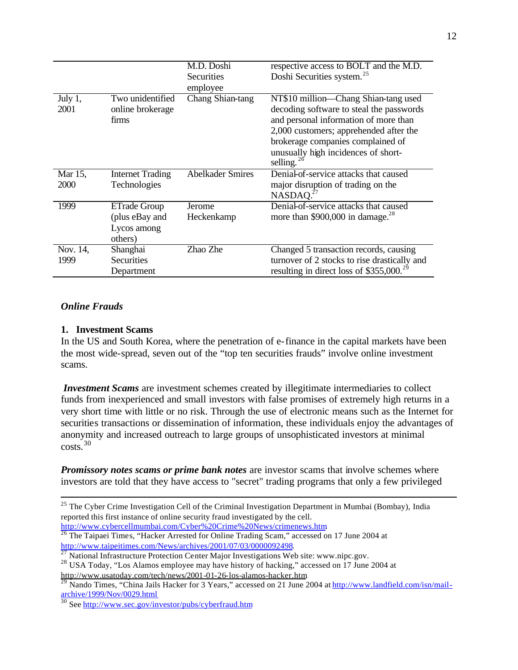|                 |                                               | M.D. Doshi              | respective access to BOLT and the M.D.                                                                                                                                                                                                                              |
|-----------------|-----------------------------------------------|-------------------------|---------------------------------------------------------------------------------------------------------------------------------------------------------------------------------------------------------------------------------------------------------------------|
|                 |                                               | Securities              | Doshi Securities system. <sup>25</sup>                                                                                                                                                                                                                              |
|                 |                                               | employee                |                                                                                                                                                                                                                                                                     |
| July 1,<br>2001 | Two unidentified<br>online brokerage<br>firms | Chang Shian-tang        | NT\$10 million—Chang Shian-tang used<br>decoding software to steal the passwords<br>and personal information of more than<br>2,000 customers; apprehended after the<br>brokerage companies complained of<br>unusually high incidences of short-<br>selling. $^{26}$ |
| Mar 15,         | <b>Internet Trading</b>                       | <b>Abelkader Smires</b> | Denial-of-service attacks that caused                                                                                                                                                                                                                               |
| 2000            | Technologies                                  |                         | major disruption of trading on the<br>NASDAO. <sup>27</sup>                                                                                                                                                                                                         |
| 1999            | ETrade Group                                  | Jerome                  | Denial-of-service attacks that caused                                                                                                                                                                                                                               |
|                 | (plus eBay and                                | Heckenkamp              | more than $$900,000$ in damage. <sup>28</sup>                                                                                                                                                                                                                       |
|                 | Lycos among                                   |                         |                                                                                                                                                                                                                                                                     |
|                 | others)                                       |                         |                                                                                                                                                                                                                                                                     |
| Nov. 14,        | Shanghai                                      | Zhao Zhe                | Changed 5 transaction records, causing                                                                                                                                                                                                                              |
| 1999            | Securities                                    |                         | turnover of 2 stocks to rise drastically and                                                                                                                                                                                                                        |
|                 | Department                                    |                         | resulting in direct loss of \$355,000. <sup>29</sup>                                                                                                                                                                                                                |

#### *Online Frauds*

 $\overline{a}$ 

#### **1. Investment Scams**

In the US and South Korea, where the penetration of e-finance in the capital markets have been the most wide-spread, seven out of the "top ten securities frauds" involve online investment scams.

*Investment Scams* are investment schemes created by illegitimate intermediaries to collect funds from inexperienced and small investors with false promises of extremely high returns in a very short time with little or no risk. Through the use of electronic means such as the Internet for securities transactions or dissemination of information, these individuals enjoy the advantages of anonymity and increased outreach to large groups of unsophisticated investors at minimal costs.<sup>30</sup>

*Promissory notes scams or prime bank notes* are investor scams that involve schemes where investors are told that they have access to "secret" trading programs that only a few privileged

<sup>&</sup>lt;sup>25</sup> The Cyber Crime Investigation Cell of the Criminal Investigation Department in Mumbai (Bombay), India reported this first instance of online security fraud investigated by the cell.

http://www.cybercellmumbai.com/Cyber%20Crime%20News/crimenews.htm.

<sup>&</sup>lt;sup>26</sup> The Taipaei Times, "Hacker Arrested for Online Trading Scam," accessed on 17 June 2004 at http://www.taipeitimes.com/News/archives/2001/07/03/0000092498.

National Infrastructure Protection Center Major Investigations Web site: www.nipc.gov.

<sup>&</sup>lt;sup>28</sup> USA Today, "Los Alamos employee may have history of hacking," accessed on 17 June 2004 at http://www.usatoday.com/tech/news/2001-01-26-los-alamos-hacker.htm.

<sup>&</sup>lt;sup>29</sup> Nando Times, "China Jails Hacker for 3 Years," accessed on 21 June 2004 at http://www.landfield.com/isn/mailarchive/1999/Nov/0029.html

<sup>&</sup>lt;sup>30</sup> See http://www.sec.gov/investor/pubs/cyberfraud.htm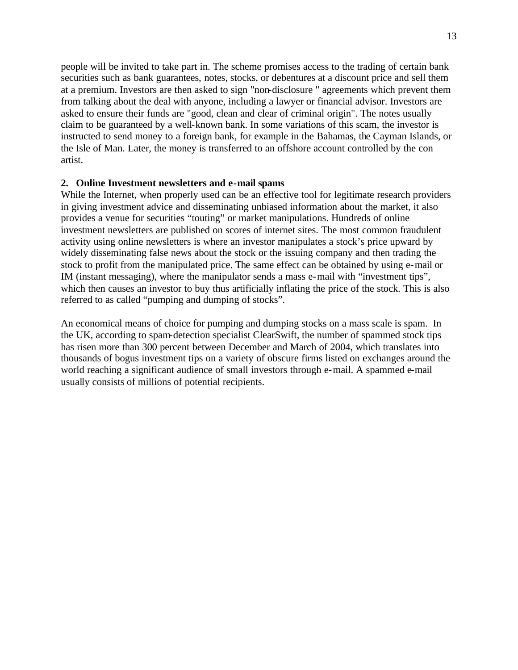people will be invited to take part in. The scheme promises access to the trading of certain bank securities such as bank guarantees, notes, stocks, or debentures at a discount price and sell them at a premium. Investors are then asked to sign "non-disclosure " agreements which prevent them from talking about the deal with anyone, including a lawyer or financial advisor. Investors are asked to ensure their funds are "good, clean and clear of criminal origin". The notes usually claim to be guaranteed by a well-known bank. In some variations of this scam, the investor is instructed to send money to a foreign bank, for example in the Bahamas, the Cayman Islands, or the Isle of Man. Later, the money is transferred to an offshore account controlled by the con artist.

#### **2. Online Investment newsletters and e-mail spams**

While the Internet, when properly used can be an effective tool for legitimate research providers in giving investment advice and disseminating unbiased information about the market, it also provides a venue for securities "touting" or market manipulations. Hundreds of online investment newsletters are published on scores of internet sites. The most common fraudulent activity using online newsletters is where an investor manipulates a stock's price upward by widely disseminating false news about the stock or the issuing company and then trading the stock to profit from the manipulated price. The same effect can be obtained by using e-mail or IM (instant messaging), where the manipulator sends a mass e-mail with "investment tips", which then causes an investor to buy thus artificially inflating the price of the stock. This is also referred to as called "pumping and dumping of stocks".

An economical means of choice for pumping and dumping stocks on a mass scale is spam. In the UK, according to spam-detection specialist ClearSwift, the number of spammed stock tips has risen more than 300 percent between December and March of 2004, which translates into thousands of bogus investment tips on a variety of obscure firms listed on exchanges around the world reaching a significant audience of small investors through e-mail. A spammed e-mail usually consists of millions of potential recipients.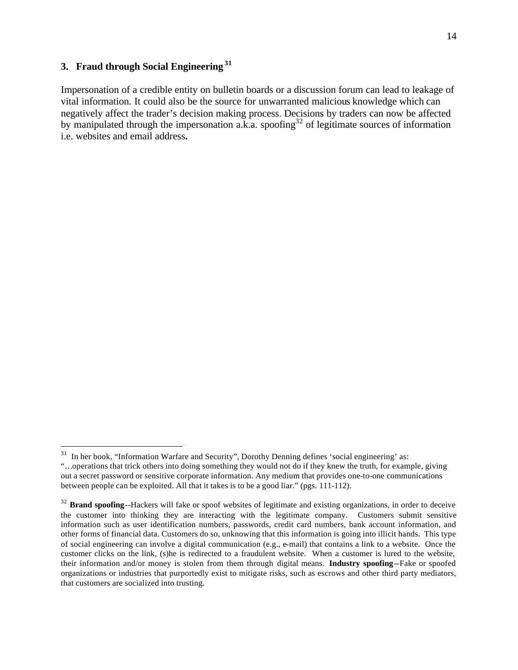# **3. Fraud through Social Engineering<sup>31</sup>**

 $\overline{a}$ 

Impersonation of a credible entity on bulletin boards or a discussion forum can lead to leakage of vital information. It could also be the source for unwarranted malicious knowledge which can negatively affect the trader's decision making process. Decisions by traders can now be affected by manipulated through the impersonation a.k.a. spoofing<sup>32</sup> of legitimate sources of information i.e. websites and email address**.** 

 $31$  In her book, "Information Warfare and Security", Dorothy Denning defines 'social engineering' as:

<sup>&</sup>quot;…operations that trick others into doing something they would not do if they knew the truth, for example, giving out a secret password or sensitive corporate information. Any medium that provides one-to-one communications between people can be exploited. All that it takes is to be a good liar." (pgs. 111-112).

<sup>&</sup>lt;sup>32</sup> **Brand spoofing--**Hackers will fake or spoof websites of legitimate and existing organizations, in order to deceive the customer into thinking they are interacting with the legitimate company. Customers submit sensitive information such as user identification numbers, passwords, credit card numbers, bank account information, and other forms of financial data. Customers do so, unknowing that this information is going into illicit hands. This type of social engineering can involve a digital communication (e.g., e-mail) that contains a link to a website. Once the customer clicks on the link, (s)he is redirected to a fraudulent website. When a customer is lured to the website, their information and/or money is stolen from them through digital means. **Industry spoofing--**Fake or spoofed organizations or industries that purportedly exist to mitigate risks, such as escrows and other third party mediators, that customers are socialized into trusting.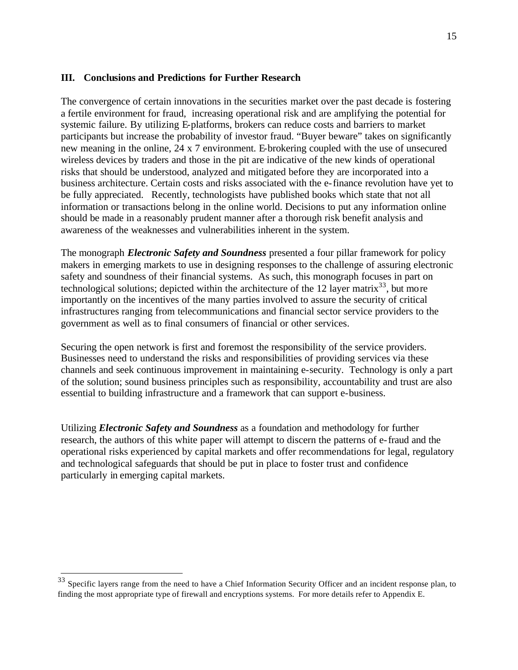#### **III. Conclusions and Predictions for Further Research**

The convergence of certain innovations in the securities market over the past decade is fostering a fertile environment for fraud, increasing operational risk and are amplifying the potential for systemic failure. By utilizing E-platforms, brokers can reduce costs and barriers to market participants but increase the probability of investor fraud. "Buyer beware" takes on significantly new meaning in the online, 24 x 7 environment. E-brokering coupled with the use of unsecured wireless devices by traders and those in the pit are indicative of the new kinds of operational risks that should be understood, analyzed and mitigated before they are incorporated into a business architecture. Certain costs and risks associated with the e-finance revolution have yet to be fully appreciated. Recently, technologists have published books which state that not all information or transactions belong in the online world. Decisions to put any information online should be made in a reasonably prudent manner after a thorough risk benefit analysis and awareness of the weaknesses and vulnerabilities inherent in the system.

The monograph *Electronic Safety and Soundness* presented a four pillar framework for policy makers in emerging markets to use in designing responses to the challenge of assuring electronic safety and soundness of their financial systems. As such, this monograph focuses in part on technological solutions; depicted within the architecture of the 12 layer matrix<sup>33</sup>, but more importantly on the incentives of the many parties involved to assure the security of critical infrastructures ranging from telecommunications and financial sector service providers to the government as well as to final consumers of financial or other services.

Securing the open network is first and foremost the responsibility of the service providers. Businesses need to understand the risks and responsibilities of providing services via these channels and seek continuous improvement in maintaining e-security. Technology is only a part of the solution; sound business principles such as responsibility, accountability and trust are also essential to building infrastructure and a framework that can support e-business.

Utilizing *Electronic Safety and Soundness* as a foundation and methodology for further research, the authors of this white paper will attempt to discern the patterns of e-fraud and the operational risks experienced by capital markets and offer recommendations for legal, regulatory and technological safeguards that should be put in place to foster trust and confidence particularly in emerging capital markets.

 $33$  Specific layers range from the need to have a Chief Information Security Officer and an incident response plan, to finding the most appropriate type of firewall and encryptions systems. For more details refer to Appendix E.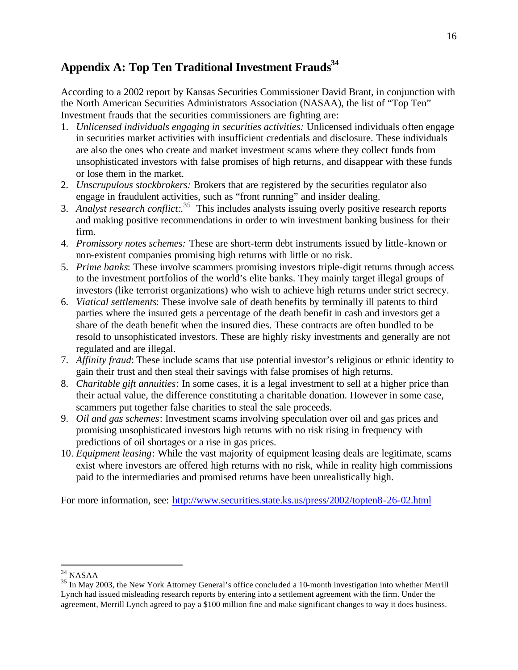# **Appendix A: Top Ten Traditional Investment Frauds<sup>34</sup>**

According to a 2002 report by Kansas Securities Commissioner David Brant, in conjunction with the North American Securities Administrators Association (NASAA), the list of "Top Ten" Investment frauds that the securities commissioners are fighting are:

- 1. *Unlicensed individuals engaging in securities activities:* Unlicensed individuals often engage in securities market activities with insufficient credentials and disclosure. These individuals are also the ones who create and market investment scams where they collect funds from unsophisticated investors with false promises of high returns, and disappear with these funds or lose them in the market.
- 2. *Unscrupulous stockbrokers:* Brokers that are registered by the securities regulator also engage in fraudulent activities, such as "front running" and insider dealing.
- 3. *Analyst research conflict:.* <sup>35</sup> This includes analysts issuing overly positive research reports and making positive recommendations in order to win investment banking business for their firm.
- 4. *Promissory notes schemes:* These are short-term debt instruments issued by little-known or non-existent companies promising high returns with little or no risk.
- 5. *Prime banks*: These involve scammers promising investors triple-digit returns through access to the investment portfolios of the world's elite banks. They mainly target illegal groups of investors (like terrorist organizations) who wish to achieve high returns under strict secrecy.
- 6. *Viatical settlements*: These involve sale of death benefits by terminally ill patents to third parties where the insured gets a percentage of the death benefit in cash and investors get a share of the death benefit when the insured dies. These contracts are often bundled to be resold to unsophisticated investors. These are highly risky investments and generally are not regulated and are illegal.
- 7. *Affinity fraud*: These include scams that use potential investor's religious or ethnic identity to gain their trust and then steal their savings with false promises of high returns.
- 8. *Charitable gift annuities*: In some cases, it is a legal investment to sell at a higher price than their actual value, the difference constituting a charitable donation. However in some case, scammers put together false charities to steal the sale proceeds.
- 9. *Oil and gas schemes*: Investment scams involving speculation over oil and gas prices and promising unsophisticated investors high returns with no risk rising in frequency with predictions of oil shortages or a rise in gas prices.
- 10. *Equipment leasing*: While the vast majority of equipment leasing deals are legitimate, scams exist where investors are offered high returns with no risk, while in reality high commissions paid to the intermediaries and promised returns have been unrealistically high.

For more information, see: http://www.securities.state.ks.us/press/2002/topten8-26-02.html

<sup>34</sup> NASAA

<sup>&</sup>lt;sup>35</sup> In May 2003, the New York Attorney General's office concluded a 10-month investigation into whether Merrill Lynch had issued misleading research reports by entering into a settlement agreement with the firm. Under the agreement, Merrill Lynch agreed to pay a \$100 million fine and make significant changes to way it does business.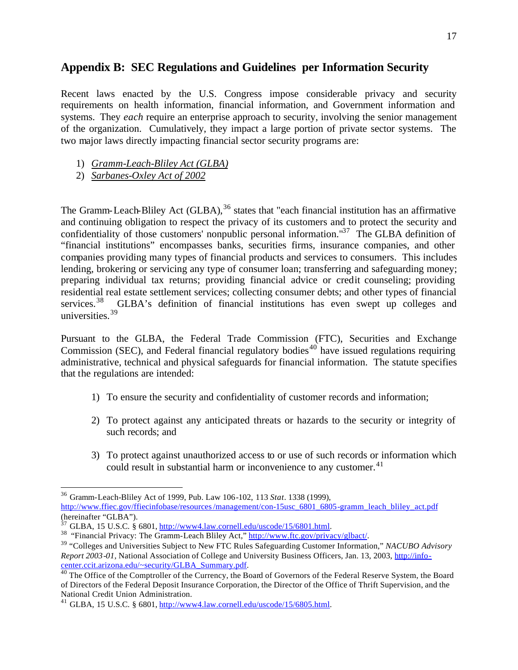# **Appendix B: SEC Regulations and Guidelines per Information Security**

Recent laws enacted by the U.S. Congress impose considerable privacy and security requirements on health information, financial information, and Government information and systems. They *each* require an enterprise approach to security, involving the senior management of the organization. Cumulatively, they impact a large portion of private sector systems. The two major laws directly impacting financial sector security programs are:

- 1) *Gramm-Leach-Bliley Act (GLBA)*
- 2) *Sarbanes-Oxley Act of 2002*

 $\overline{a}$ 

The Gramm-Leach-Bliley Act  $(GLBA)$ ,  $36$  states that "each financial institution has an affirmative and continuing obligation to respect the privacy of its customers and to protect the security and confidentiality of those customers' nonpublic personal information."<sup>37</sup> The GLBA definition of "financial institutions" encompasses banks, securities firms, insurance companies, and other companies providing many types of financial products and services to consumers. This includes lending, brokering or servicing any type of consumer loan; transferring and safeguarding money; preparing individual tax returns; providing financial advice or credit counseling; providing residential real estate settlement services; collecting consumer debts; and other types of financial services.<sup>38</sup> GLBA's definition of financial institutions has even swept up colleges and universities.<sup>39</sup>

Pursuant to the GLBA, the Federal Trade Commission (FTC), Securities and Exchange Commission (SEC), and Federal financial regulatory bodies<sup>40</sup> have issued regulations requiring administrative, technical and physical safeguards for financial information. The statute specifies that the regulations are intended:

- 1) To ensure the security and confidentiality of customer records and information;
- 2) To protect against any anticipated threats or hazards to the security or integrity of such records; and
- 3) To protect against unauthorized access to or use of such records or information which could result in substantial harm or inconvenience to any customer. $41$

<sup>36</sup> Gramm-Leach-Bliley Act of 1999, Pub. Law 106-102, 113 *Stat*. 1338 (1999), http://www.ffiec.gov/ffiecinfobase/resources/management/con-15usc\_6801\_6805-gramm\_leach\_bliley\_act.pdf (hereinafter "GLBA").

 $37$  GLBA, 15 U.S.C. § 6801, http://www4.law.cornell.edu/uscode/15/6801.html.

<sup>38</sup> "Financial Privacy: The Gramm-Leach Bliley Act," http://www.ftc.gov/privacy/glbact/.

<sup>39</sup> "Colleges and Universities Subject to New FTC Rules Safeguarding Customer Information," *NACUBO Advisory Report 2003-01,* National Association of College and University Business Officers, Jan. 13, 2003, http://infocenter.ccit.arizona.edu/~security/GLBA\_Summary.pdf.

<sup>&</sup>lt;sup>40</sup> The Office of the Comptroller of the Currency, the Board of Governors of the Federal Reserve System, the Board of Directors of the Federal Deposit Insurance Corporation, the Director of the Office of Thrift Supervision, and the National Credit Union Administration.

<sup>41</sup> GLBA, 15 U.S.C. § 6801, http://www4.law.cornell.edu/uscode/15/6805.html.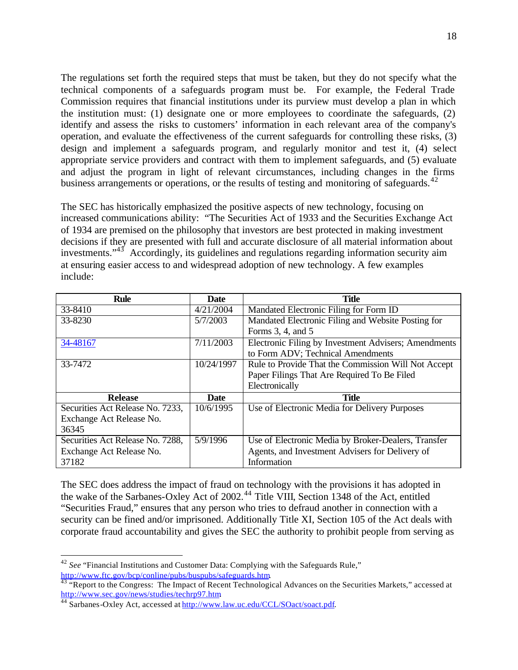The regulations set forth the required steps that must be taken, but they do not specify what the technical components of a safeguards program must be. For example, the Federal Trade Commission requires that financial institutions under its purview must develop a plan in which the institution must: (1) designate one or more employees to coordinate the safeguards, (2) identify and assess the risks to customers' information in each relevant area of the company's operation, and evaluate the effectiveness of the current safeguards for controlling these risks, (3) design and implement a safeguards program, and regularly monitor and test it, (4) select appropriate service providers and contract with them to implement safeguards, and (5) evaluate and adjust the program in light of relevant circumstances, including changes in the firms business arrangements or operations, or the results of testing and monitoring of safeguards.<sup>42</sup>

The SEC has historically emphasized the positive aspects of new technology, focusing on increased communications ability: "The Securities Act of 1933 and the Securities Exchange Act of 1934 are premised on the philosophy that investors are best protected in making investment decisions if they are presented with full and accurate disclosure of all material information about investments."<sup>43</sup> Accordingly, its guidelines and regulations regarding information security aim at ensuring easier access to and widespread adoption of new technology. A few examples include:

| <b>Rule</b>                      | <b>Date</b> | <b>Title</b>                                         |
|----------------------------------|-------------|------------------------------------------------------|
| 33-8410                          | 4/21/2004   | Mandated Electronic Filing for Form ID               |
| 33-8230                          | 5/7/2003    | Mandated Electronic Filing and Website Posting for   |
|                                  |             | Forms 3, 4, and 5                                    |
| 34-48167                         | 7/11/2003   | Electronic Filing by Investment Advisers; Amendments |
|                                  |             | to Form ADV; Technical Amendments                    |
| 33-7472                          | 10/24/1997  | Rule to Provide That the Commission Will Not Accept  |
|                                  |             | Paper Filings That Are Required To Be Filed          |
|                                  |             | Electronically                                       |
| <b>Release</b>                   | <b>Date</b> | <b>Title</b>                                         |
| Securities Act Release No. 7233, | 10/6/1995   | Use of Electronic Media for Delivery Purposes        |
| Exchange Act Release No.         |             |                                                      |
| 36345                            |             |                                                      |
| Securities Act Release No. 7288, | 5/9/1996    | Use of Electronic Media by Broker-Dealers, Transfer  |
| Exchange Act Release No.         |             | Agents, and Investment Advisers for Delivery of      |
| 37182                            |             | Information                                          |

The SEC does address the impact of fraud on technology with the provisions it has adopted in the wake of the Sarbanes-Oxley Act of 2002.<sup>44</sup> Title VIII, Section 1348 of the Act, entitled "Securities Fraud," ensures that any person who tries to defraud another in connection with a security can be fined and/or imprisoned. Additionally Title XI, Section 105 of the Act deals with corporate fraud accountability and gives the SEC the authority to prohibit people from serving as

<sup>42</sup> *See* "Financial Institutions and Customer Data: Complying with the Safeguards Rule," http://www.ftc.gov/bcp/conline/pubs/buspubs/safeguards.htm.

<sup>&</sup>lt;sup>43 "</sup>Report to the Congress: The Impact of Recent Technological Advances on the Securities Markets," accessed at http://www.sec.gov/news/studies/techrp97.htm

<sup>&</sup>lt;sup>44</sup> Sarbanes-Oxley Act, accessed at http://www.law.uc.edu/CCL/SOact/soact.pdf.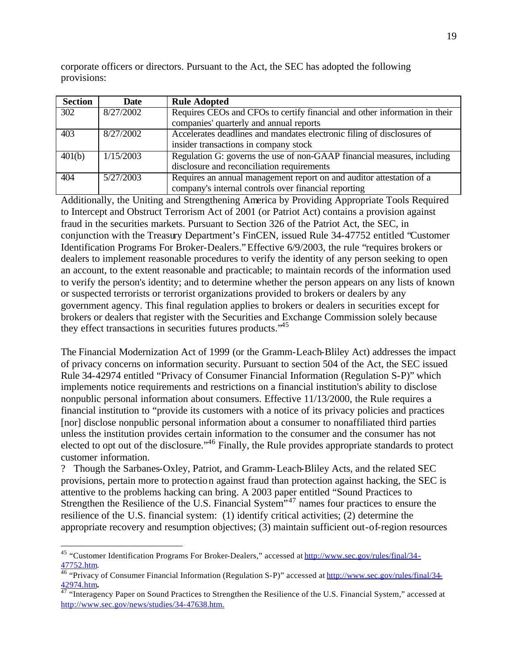corporate officers or directors. Pursuant to the Act, the SEC has adopted the following provisions:

| <b>Section</b> | Date      | <b>Rule Adopted</b>                                                        |
|----------------|-----------|----------------------------------------------------------------------------|
| 302            | 8/27/2002 | Requires CEOs and CFOs to certify financial and other information in their |
|                |           | companies' quarterly and annual reports                                    |
| 403            | 8/27/2002 | Accelerates deadlines and mandates electronic filing of disclosures of     |
|                |           | insider transactions in company stock                                      |
| 401(b)         | 1/15/2003 | Regulation G: governs the use of non-GAAP financial measures, including    |
|                |           | disclosure and reconciliation requirements                                 |
| 404            | 5/27/2003 | Requires an annual management report on and auditor attestation of a       |
|                |           | company's internal controls over financial reporting                       |

Additionally, the Uniting and Strengthening America by Providing Appropriate Tools Required to Intercept and Obstruct Terrorism Act of 2001 (or Patriot Act) contains a provision against fraud in the securities markets. Pursuant to Section 326 of the Patriot Act, the SEC, in conjunction with the Treasury Department's FinCEN, issued Rule 34-47752 entitled "Customer Identification Programs For Broker-Dealers."Effective 6/9/2003, the rule "requires brokers or dealers to implement reasonable procedures to verify the identity of any person seeking to open an account, to the extent reasonable and practicable; to maintain records of the information used to verify the person's identity; and to determine whether the person appears on any lists of known or suspected terrorists or terrorist organizations provided to brokers or dealers by any government agency. This final regulation applies to brokers or dealers in securities except for brokers or dealers that register with the Securities and Exchange Commission solely because they effect transactions in securities futures products.<sup>45</sup>

The Financial Modernization Act of 1999 (or the Gramm-Leach-Bliley Act) addresses the impact of privacy concerns on information security. Pursuant to section 504 of the Act, the SEC issued Rule 34-42974 entitled "Privacy of Consumer Financial Information (Regulation S-P)" which implements notice requirements and restrictions on a financial institution's ability to disclose nonpublic personal information about consumers. Effective 11/13/2000, the Rule requires a financial institution to "provide its customers with a notice of its privacy policies and practices [nor] disclose nonpublic personal information about a consumer to nonaffiliated third parties unless the institution provides certain information to the consumer and the consumer has not elected to opt out of the disclosure."<sup>46</sup> Finally, the Rule provides appropriate standards to protect customer information.

? Though the Sarbanes-Oxley, Patriot, and Gramm-Leach-Bliley Acts, and the related SEC provisions, pertain more to protection against fraud than protection against hacking, the SEC is attentive to the problems hacking can bring. A 2003 paper entitled "Sound Practices to Strengthen the Resilience of the U.S. Financial System<sup>147</sup> names four practices to ensure the resilience of the U.S. financial system: (1) identify critical activities; (2) determine the appropriate recovery and resumption objectives; (3) maintain sufficient out-of-region resources

<sup>&</sup>lt;sup>45</sup> "Customer Identification Programs For Broker-Dealers," accessed at http://www.sec.gov/rules/final/34-47752.htm.

<sup>&</sup>lt;sup>46</sup> "Privacy of Consumer Financial Information (Regulation S-P)" accessed at http://www.sec.gov/rules/final/34-42974.htm**.** 

<sup>&</sup>lt;sup>47</sup> "Interagency Paper on Sound Practices to Strengthen the Resilience of the U.S. Financial System," accessed at http://www.sec.gov/news/studies/34-47638.htm.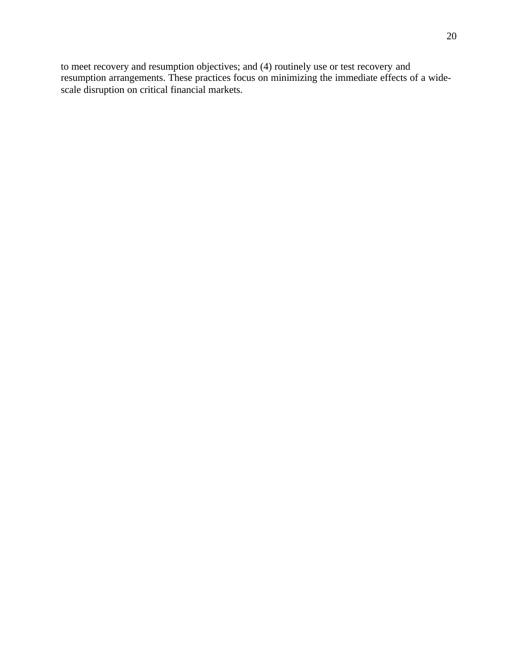to meet recovery and resumption objectives; and (4) routinely use or test recovery and resumption arrangements. These practices focus on minimizing the immediate effects of a widescale disruption on critical financial markets.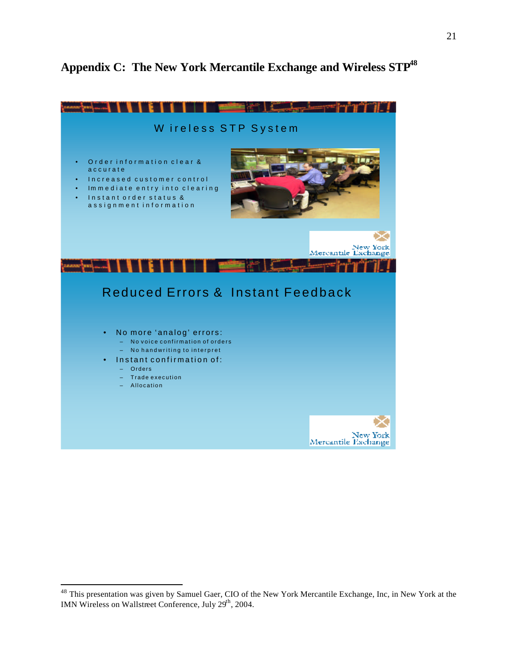# **Appendix C: The New York Mercantile Exchange and Wireless STP<sup>48</sup>**



<sup>&</sup>lt;sup>48</sup> This presentation was given by Samuel Gaer, CIO of the New York Mercantile Exchange, Inc, in New York at the IMN Wireless on Wallstreet Conference, July 29<sup>th</sup>, 2004.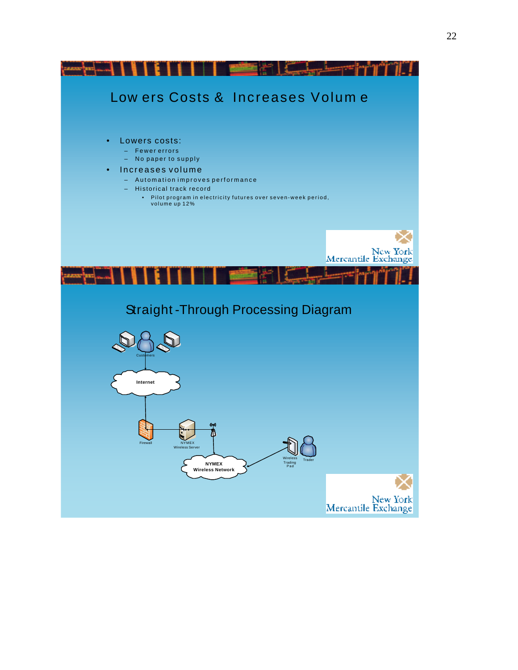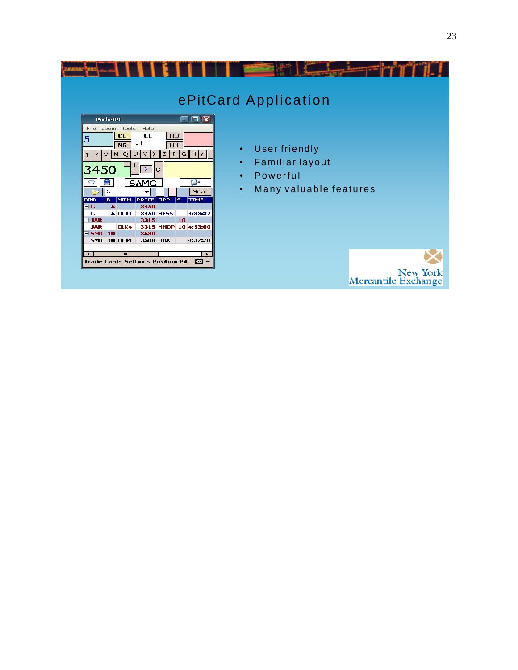| EEX<br><b>PocketPC</b><br>File Zoom Tools<br>Help                                                                                                                                                                                                                                                                                                                                                                                                                                       | ePitCard Application                                                                                                              |
|-----------------------------------------------------------------------------------------------------------------------------------------------------------------------------------------------------------------------------------------------------------------------------------------------------------------------------------------------------------------------------------------------------------------------------------------------------------------------------------------|-----------------------------------------------------------------------------------------------------------------------------------|
| CL<br><b>CL</b><br>HO<br>5<br>J <sub>4</sub><br><b>NG</b><br>HU<br>G[H]<br>F<br>N<br>Q<br>$K$ M<br>$\mathbf{J}$<br>3450<br>$\mathbf{3}$<br>IС<br><b>SAMG</b><br><b>R</b><br>G<br>Move<br><b>PRICE OPP</b><br><b>MTH</b><br>ls.<br><b>ORD</b><br>B.<br><b>TIME</b><br>5.<br>ΞG<br>3450<br>5 CL34<br>4:33:37<br><b>3450 HESS</b><br>G<br>3315<br>10<br>$\equiv$ JAR<br>3315 HHOP 10 4:33:00<br>CLK4<br><b>JAR</b><br>$\equiv$ SMT 10<br>3580<br><b>SMT 10 CLJ4</b><br>3580 DAK<br>4:32:20 | User friendly<br>$\bullet$<br><b>Familiar layout</b><br>$\bullet$<br>Powerful<br>$\bullet$<br>Many valuable features<br>$\bullet$ |
| Ш<br>$\blacktriangleleft$<br>٠<br><b>Trade Cards Settings Position Pit</b><br>■▲                                                                                                                                                                                                                                                                                                                                                                                                        | New York<br>Mercantile Exchange                                                                                                   |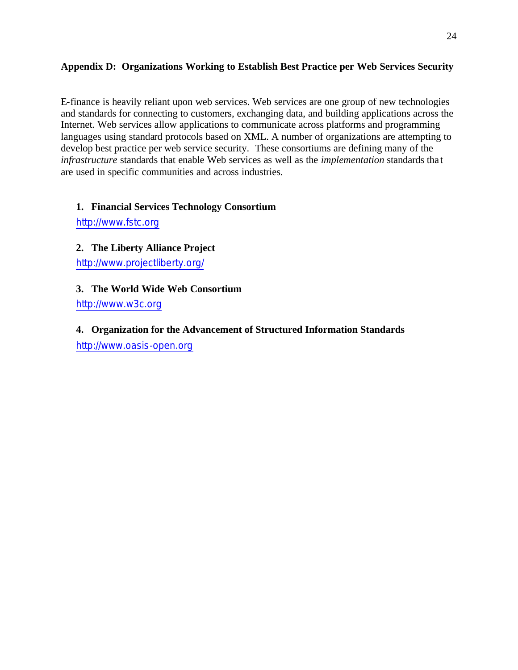### **Appendix D: Organizations Working to Establish Best Practice per Web Services Security**

E-finance is heavily reliant upon web services. Web services are one group of new technologies and standards for connecting to customers, exchanging data, and building applications across the Internet. Web services allow applications to communicate across platforms and programming languages using standard protocols based on XML. A number of organizations are attempting to develop best practice per web service security. These consortiums are defining many of the *infrastructure* standards that enable Web services as well as the *implementation* standards tha t are used in specific communities and across industries.

# **1. Financial Services Technology Consortium**

http://www.fstc.org

**2. The Liberty Alliance Project**

http://www.projectliberty.org/

# **3. The World Wide Web Consortium**

http://www.w3c.org

# **4. Organization for the Advancement of Structured Information Standards**

http://www.oasis-open.org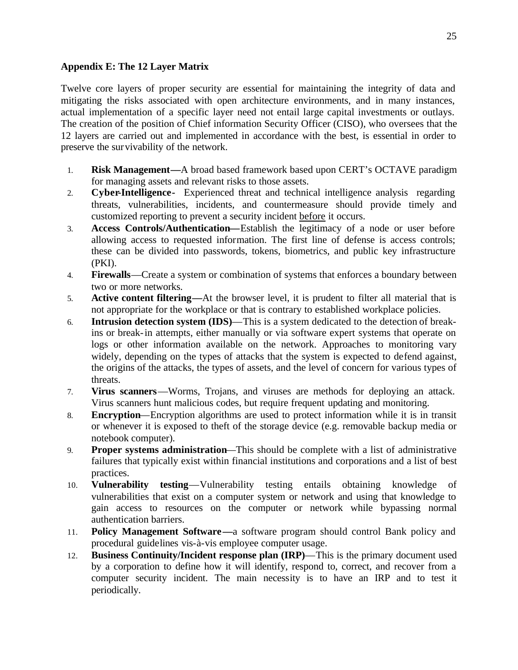#### **Appendix E: The 12 Layer Matrix**

Twelve core layers of proper security are essential for maintaining the integrity of data and mitigating the risks associated with open architecture environments, and in many instances, actual implementation of a specific layer need not entail large capital investments or outlays. The creation of the position of Chief information Security Officer (CISO), who oversees that the 12 layers are carried out and implemented in accordance with the best, is essential in order to preserve the survivability of the network.

- 1. **Risk Management—**A broad based framework based upon CERT's OCTAVE paradigm for managing assets and relevant risks to those assets.
- 2. **Cyber-Intelligence-** Experienced threat and technical intelligence analysis regarding threats, vulnerabilities, incidents, and countermeasure should provide timely and customized reporting to prevent a security incident before it occurs.
- 3. **Access Controls/Authentication—**Establish the legitimacy of a node or user before allowing access to requested information. The first line of defense is access controls; these can be divided into passwords, tokens, biometrics, and public key infrastructure (PKI).
- 4. **Firewalls**—Create a system or combination of systems that enforces a boundary between two or more networks.
- 5. **Active content filtering—**At the browser level, it is prudent to filter all material that is not appropriate for the workplace or that is contrary to established workplace policies.
- 6. **Intrusion detection system (IDS)**—This is a system dedicated to the detection of breakins or break-in attempts, either manually or via software expert systems that operate on logs or other information available on the network. Approaches to monitoring vary widely, depending on the types of attacks that the system is expected to defend against, the origins of the attacks, the types of assets, and the level of concern for various types of threats.
- 7. **Virus scanners**—Worms, Trojans, and viruses are methods for deploying an attack. Virus scanners hunt malicious codes, but require frequent updating and monitoring.
- 8. **Encryption**—Encryption algorithms are used to protect information while it is in transit or whenever it is exposed to theft of the storage device (e.g. removable backup media or notebook computer).
- 9. **Proper systems administration**—This should be complete with a list of administrative failures that typically exist within financial institutions and corporations and a list of best practices.
- 10. **Vulnerability testing**—Vulnerability testing entails obtaining knowledge of vulnerabilities that exist on a computer system or network and using that knowledge to gain access to resources on the computer or network while bypassing normal authentication barriers.
- 11. **Policy Management Software—**a software program should control Bank policy and procedural guidelines vis-à-vis employee computer usage.
- 12. **Business Continuity/Incident response plan (IRP)**—This is the primary document used by a corporation to define how it will identify, respond to, correct, and recover from a computer security incident. The main necessity is to have an IRP and to test it periodically.